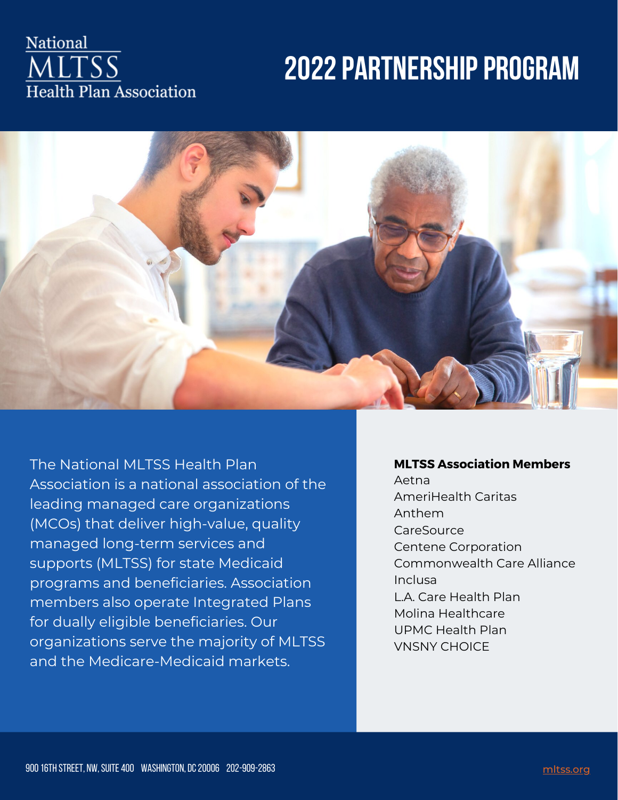### National **ALTSS** Health Plan Association

## **2022 PARTNERSHIP PROGRAM**



The National MLTSS Health Plan Association is a national association of the leading managed care organizations (MCOs) that deliver high-value, quality managed long-term services and supports (MLTSS) for state Medicaid programs and beneficiaries. Association members also operate Integrated Plans for dually eligible beneficiaries. Our organizations serve the majority of MLTSS and the Medicare-Medicaid markets.

#### **MLTSS Association Members**

Aetna AmeriHealth Caritas Anthem **CareSource** Centene Corporation Commonwealth Care Alliance Inclusa L.A. Care Health Plan Molina Healthcare UPMC Health Plan VNSNY CHOICE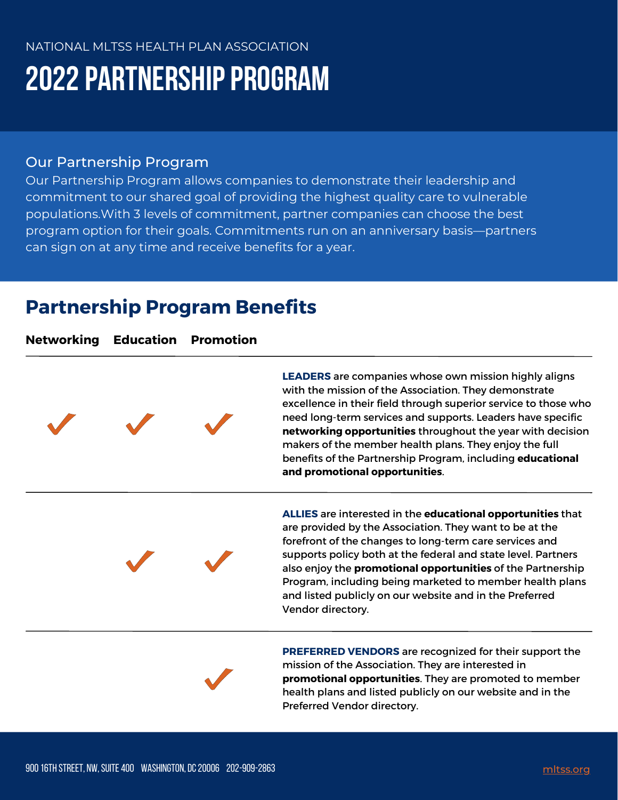# **2022 PARTNERSHIP PROGRAM**

### Our Partnership Program

Our Partnership Program allows companies to demonstrate their leadership and commitment to our shared goal of providing the highest quality care to vulnerable populations.With 3 levels of commitment, partner companies can choose the best program option for their goals. Commitments run on an anniversary basis—partners can sign on at any time and receive benefits for a year.

## **Partnership Program Benefits**

**Networking Education Promotion**



**LEADERS** are companies whose own mission highly aligns with the mission of the Association. They demonstrate excellence in their field through superior service to those who need long-term services and supports. Leaders have specific **networking opportunities** throughout the year with decision makers of the member health plans. They enjoy the full benefits of the Partnership Program, including **educational and promotional opportunities**.

**ALLIES** are interested in the **educational opportunities** that are provided by the Association. They want to be at the forefront of the changes to long-term care services and supports policy both at the federal and state level. Partners also enjoy the **promotional opportunities** of the Partnership Program, including being marketed to member health plans and listed publicly on our website and in the Preferred Vendor directory.



**PREFERRED VENDORS** are recognized for their support the mission of the Association. They are interested in **promotional opportunities**. They are promoted to member health plans and listed publicly on our website and in the Preferred Vendor directory.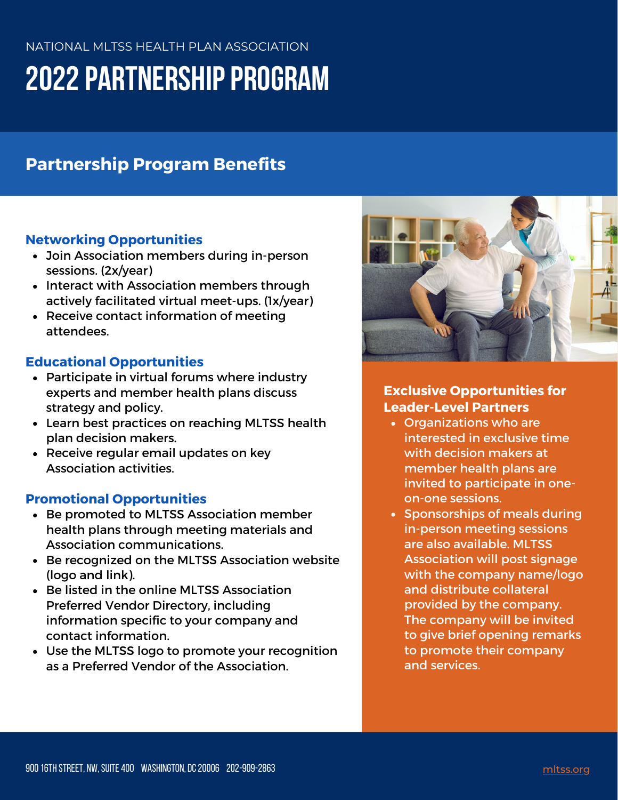# **2022 PARTNERSHIP PROGRAM**

### **Partnership Program Benefits**

#### **Networking Opportunities**

- Join Association members during in-person sessions. (2x/year)
- Interact with Association members through actively facilitated virtual meet-ups. (1x/year)
- Receive contact information of meeting attendees.

#### **Educational Opportunities**

- Participate in virtual forums where industry experts and member health plans discuss strategy and policy.
- Learn best practices on reaching MLTSS health plan decision makers.
- Receive regular email updates on key Association activities.

#### **Promotional Opportunities**

- Be promoted to MLTSS Association member health plans through meeting materials and Association communications.
- Be recognized on the MLTSS Association website (logo and link).
- Be listed in the online MLTSS Association Preferred Vendor Directory, including information specific to your company and contact information.
- Use the MLTSS logo to promote your recognition as a Preferred Vendor of the Association.



#### **Exclusive Opportunities for Leader-Level Partners**

- Organizations who are interested in exclusive time with decision makers at member health plans are invited to participate in oneon-one sessions.
- Sponsorships of meals during in-person meeting sessions are also available. MLTSS Association will post signage with the company name/logo and distribute collateral provided by the company. The company will be invited to give brief opening remarks to promote their company and services.